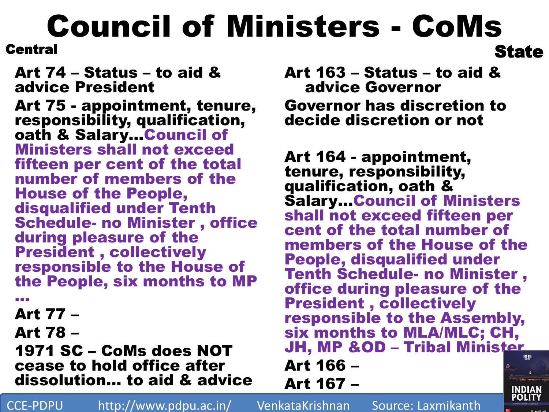## Council of Ministers - CoMs **State**

**Central** 

Art 74 – Status – to aid & advice President

Art 75 - appointment, tenure, responsibility, qualification, oath & Salary…Council of Ministers shall not exceed fifteen per cent of the total number of members of the House of the People, disqualified under Tenth Schedule- no Minister , office during pleasure of the President , collectively responsible to the House of the People, six months to MP

…

Art 77 –

Art 78 –

1971 SC – CoMs does NOT cease to hold office after dissolution… to aid & advice Art 163 – Status – to aid & advice Governor Governor has discretion to decide discretion or not

Art 164 - appointment, tenure, responsibility, qualification, oath & Salary…Council of Ministers shall not exceed fifteen per cent of the total number of members of the House of the People, disqualified under Tenth Schedule- no Minister , office during pleasure of the President , collectively responsible to the Assembly, six months to MLA/MLC; CH, JH, MP &OD – Tribal Minister Art 166 –

Art 167 –

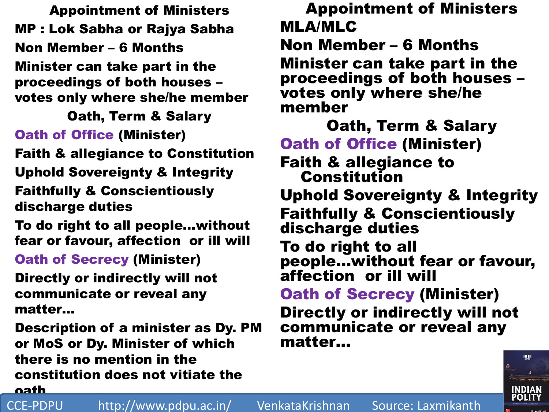Appointment of Ministers MP : Lok Sabha or Rajya Sabha Non Member – 6 Months Minister can take part in the proceedings of both houses – votes only where she/he member

Oath, Term & Salary Oath of Office (Minister)

Faith & allegiance to Constitution Uphold Sovereignty & Integrity Faithfully & Conscientiously discharge duties

To do right to all people…without fear or favour, affection or ill will

Oath of Secrecy (Minister)

Directly or indirectly will not communicate or reveal any matter…

Description of a minister as Dy. PM or MoS or Dy. Minister of which there is no mention in the constitution does not vitiate the oath

Appointment of Ministers MLA/MLC Non Member – 6 Months Minister can take part in the proceedings of both houses – votes only where she/he member

Oath, Term & Salary Oath of Office (Minister) Faith & allegiance to **Constitution** Uphold Sovereignty & Integrity Faithfully & Conscientiously discharge duties To do right to all people…without fear or favour, affection or ill will Oath of Secrecy (Minister) Directly or indirectly will not communicate or reveal any matter…



CCE-PDPU http://www.pdpu.ac.in/ VenkataKrishnan Source: Laxmikanth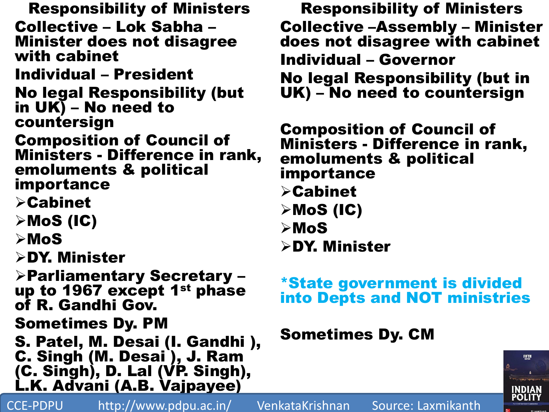Responsibility of Ministers Collective – Lok Sabha – Minister does not disagree with cabinet Individual – President No legal Responsibility (but in UK) – No need to countersign Composition of Council of Ministers - Difference in rank, emoluments & political importance Cabinet  $\triangleright$ MoS (IC)  $>$ MoS DY. Minister Parliamentary Secretary – up to 1967 except 1<sup>st</sup> phase of R. Gandhi Gov. Sometimes Dy. PM S. Patel, M. Desai (I. Gandhi ), C. Singh (M. Desai ), J. Ram (C. Singh), D. Lal (VP. Singh), L.K. Advani (A.B. Vajpayee) CCE-PDPU http://www.pdpu.ac.in/ VenkataKrishnan Source: Laxmikanth

Responsibility of Ministers Collective –Assembly – Minister does not disagree with cabinet Individual – Governor No legal Responsibility (but in UK) – No need to countersign

Composition of Council of Ministers - Difference in rank, emoluments & political importance Cabinet  $\triangleright$ MoS (IC) MoS DY. Minister

## \*State government is divided into Depts and NOT ministries

## Sometimes Dy. CM

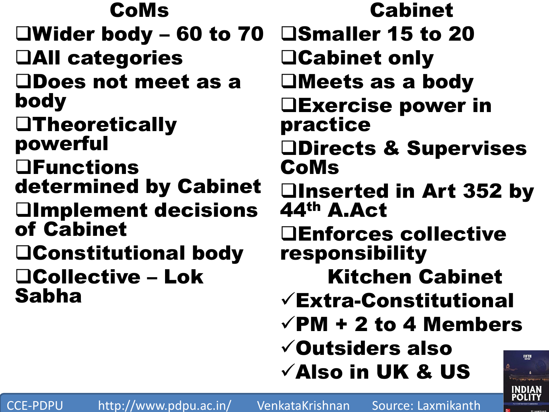CoMs Wider body – 60 to 70 All categories Does not meet as a body **OTheoretically** powerful **OFunctions** determined by Cabinet **Olmplement decisions** of Cabinet Constitutional body Collective – Lok Sabha

Cabinet □Smaller 15 to 20 Cabinet only Meets as a body Exercise power in practice Directs & Supervises CoMs Inserted in Art 352 by 44th A.Act Enforces collective responsibility Kitchen Cabinet Extra-Constitutional  $\sqrt{PM}$  + 2 to 4 Members Outsiders also FIFTH  $\checkmark$  Also in UK & US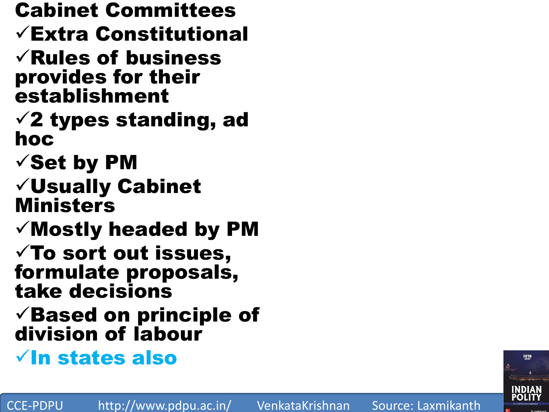Cabinet Committees Extra Constitutional  $\sqrt{\mathsf{Rules}}$  of business provides for their establishment  $\sqrt{2}$  types standing, ad hoc  $\checkmark$  Set by PM Usually Cabinet Ministers  $\checkmark$  Mostly headed by PM  $\checkmark$  To sort out issues, formulate proposals, take decisions  $\checkmark$  Based on principle of division of labour  $\sqrt{}$ In states also

CCE-PDPU http://www.pdpu.ac.in/ VenkataKrishnan Source: Laxmikanth